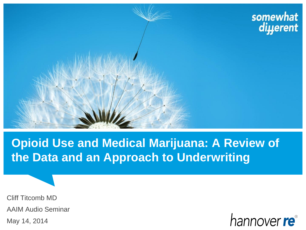

# **Opioid Use and Medical Marijuana: A Review of the Data and an Approach to Underwriting**

Cliff Titcomb MD AAIM Audio Seminar May 14, 2014

hannover re<sup>®</sup>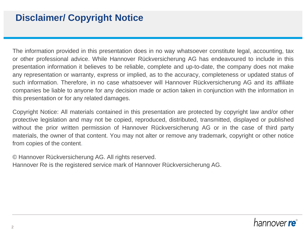### **Disclaimer/ Copyright Notice**

The information provided in this presentation does in no way whatsoever constitute legal, accounting, tax or other professional advice. While Hannover Rückversicherung AG has endeavoured to include in this presentation information it believes to be reliable, complete and up-to-date, the company does not make any representation or warranty, express or implied, as to the accuracy, completeness or updated status of such information. Therefore, in no case whatsoever will Hannover Rückversicherung AG and its affiliate companies be liable to anyone for any decision made or action taken in conjunction with the information in this presentation or for any related damages.

Copyright Notice: All materials contained in this presentation are protected by copyright law and/or other protective legislation and may not be copied, reproduced, distributed, transmitted, displayed or published without the prior written permission of Hannover Rückversicherung AG or in the case of third party materials, the owner of that content. You may not alter or remove any trademark, copyright or other notice from copies of the content.

© Hannover Rückversicherung AG. All rights reserved.

Hannover Re is the registered service mark of Hannover Rückversicherung AG.

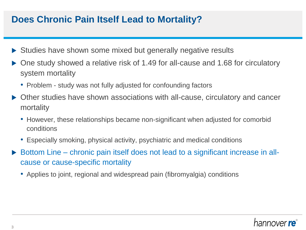#### **Does Chronic Pain Itself Lead to Mortality?**

- ▶ Studies have shown some mixed but generally negative results
- ▶ One study showed a relative risk of 1.49 for all-cause and 1.68 for circulatory system mortality
	- Problem study was not fully adjusted for confounding factors
- Other studies have shown associations with all-cause, circulatory and cancer mortality
	- However, these relationships became non-significant when adjusted for comorbid conditions
	- Especially smoking, physical activity, psychiatric and medical conditions
- Bottom Line chronic pain itself does not lead to a significant increase in allcause or cause-specific mortality
	- Applies to joint, regional and widespread pain (fibromyalgia) conditions

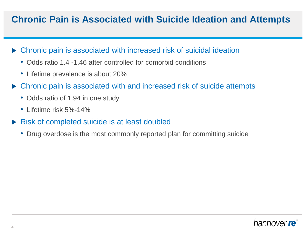### **Chronic Pain is Associated with Suicide Ideation and Attempts**

- Chronic pain is associated with increased risk of suicidal ideation
	- Odds ratio 1.4 -1.46 after controlled for comorbid conditions
	- Lifetime prevalence is about 20%
- ▶ Chronic pain is associated with and increased risk of suicide attempts
	- Odds ratio of 1.94 in one study
	- Lifetime risk 5%-14%
- Risk of completed suicide is at least doubled
	- Drug overdose is the most commonly reported plan for committing suicide

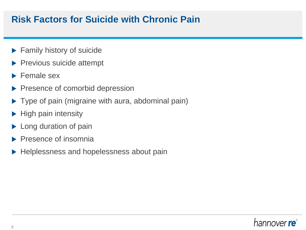#### **Risk Factors for Suicide with Chronic Pain**

- **Family history of suicide**
- $\blacktriangleright$  Previous suicide attempt
- $\blacktriangleright$  Female sex
- Presence of comorbid depression
- ▶ Type of pain (migraine with aura, abdominal pain)
- $\blacktriangleright$  High pain intensity
- **Long duration of pain**
- Presence of insomnia
- ▶ Helplessness and hopelessness about pain

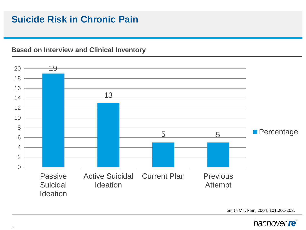## **Suicide Risk in Chronic Pain**

#### **Based on Interview and Clinical Inventory**



Smith MT, Pain, 2004; 101:201-208.

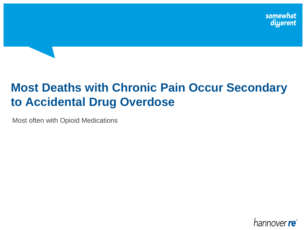# **Most Deaths with Chronic Pain Occur Secondary to Accidental Drug Overdose**

Most often with Opioid Medications

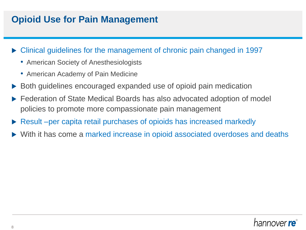## **Opioid Use for Pain Management**

- Clinical guidelines for the management of chronic pain changed in 1997
	- American Society of Anesthesiologists
	- American Academy of Pain Medicine
- Both guidelines encouraged expanded use of opioid pain medication
- ▶ Federation of State Medical Boards has also advocated adoption of model policies to promote more compassionate pain management
- Result –per capita retail purchases of opioids has increased markedly
- With it has come a marked increase in opioid associated overdoses and deaths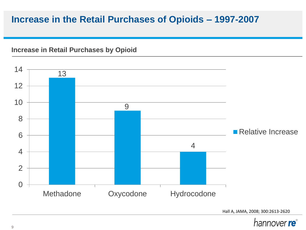#### **Increase in the Retail Purchases of Opioids – 1997-2007**

#### **Increase in Retail Purchases by Opioid**



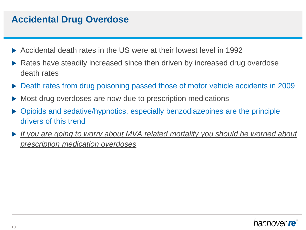### **Accidental Drug Overdose**

- Accidental death rates in the US were at their lowest level in 1992
- Rates have steadily increased since then driven by increased drug overdose death rates
- Death rates from drug poisoning passed those of motor vehicle accidents in 2009
- Most drug overdoses are now due to prescription medications
- Opioids and sedative/hypnotics, especially benzodiazepines are the principle drivers of this trend
- *If you are going to worry about MVA related mortality you should be worried about prescription medication overdoses*

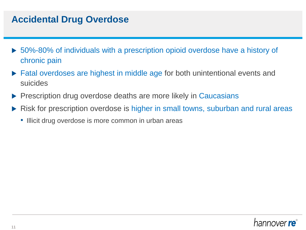#### **Accidental Drug Overdose**

- ▶ 50%-80% of individuals with a prescription opioid overdose have a history of chronic pain
- ▶ Fatal overdoses are highest in middle age for both unintentional events and suicides
- Prescription drug overdose deaths are more likely in Caucasians
- Risk for prescription overdose is higher in small towns, suburban and rural areas
	- Illicit drug overdose is more common in urban areas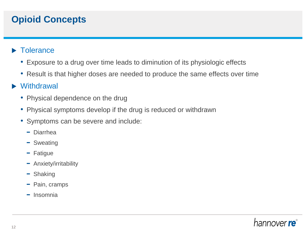## **Opioid Concepts**

#### **Tolerance**

- Exposure to a drug over time leads to diminution of its physiologic effects
- Result is that higher doses are needed to produce the same effects over time

#### ▶ Withdrawal

- Physical dependence on the drug
- Physical symptoms develop if the drug is reduced or withdrawn
- Symptoms can be severe and include:
	- − Diarrhea
	- − Sweating
	- − Fatigue
	- − Anxiety/irritability
	- − Shaking
	- − Pain, cramps
	- − Insomnia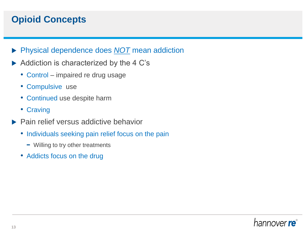## **Opioid Concepts**

- Physical dependence does *NOT* mean addiction
- Addiction is characterized by the 4 C's
	- Control impaired re drug usage
	- Compulsive use
	- Continued use despite harm
	- Craving
- $\blacktriangleright$  Pain relief versus addictive behavior
	- Individuals seeking pain relief focus on the pain
		- − Willing to try other treatments
	- Addicts focus on the drug

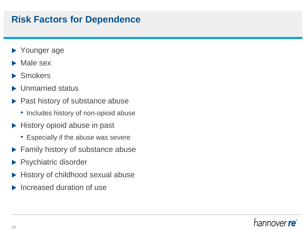#### **Risk Factors for Dependence**

- ▶ Younger age
- Male sex
- ▶ Smokers
- ▶ Unmarried status
- ▶ Past history of substance abuse
	- Includes history of non-opioid abuse
- $\blacktriangleright$  History opioid abuse in past
	- Especially if the abuse was severe
- Family history of substance abuse
- Psychiatric disorder
- History of childhood sexual abuse
- Increased duration of use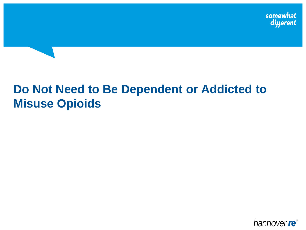# **Do Not Need to Be Dependent or Addicted to Misuse Opioids**

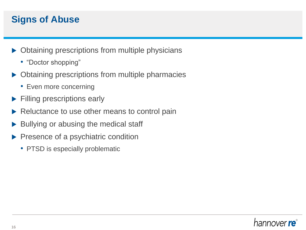## **Signs of Abuse**

- $\triangleright$  Obtaining prescriptions from multiple physicians
	- "Doctor shopping"
- ▶ Obtaining prescriptions from multiple pharmacies
	- Even more concerning
- **Filling prescriptions early**
- Reluctance to use other means to control pain
- Bullying or abusing the medical staff
- Presence of a psychiatric condition
	- PTSD is especially problematic

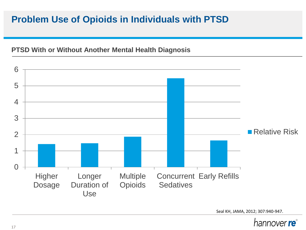## **Problem Use of Opioids in Individuals with PTSD**

#### **PTSD With or Without Another Mental Health Diagnosis**



Seal KH, JAMA, 2012; 307:940-947.

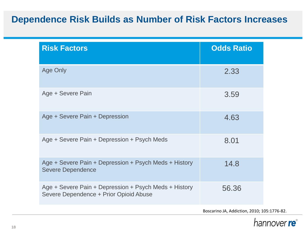## **Dependence Risk Builds as Number of Risk Factors Increases**

| <b>Risk Factors</b>                                                                             | <b>Odds Ratio</b> |
|-------------------------------------------------------------------------------------------------|-------------------|
| <b>Age Only</b>                                                                                 | 2.33              |
| Age + Severe Pain                                                                               | 3.59              |
| Age + Severe Pain + Depression                                                                  | 4.63              |
| Age + Severe Pain + Depression + Psych Meds                                                     | 8.01              |
| Age + Severe Pain + Depression + Psych Meds + History<br><b>Severe Dependence</b>               | 14.8              |
| Age + Severe Pain + Depression + Psych Meds + History<br>Severe Dependence + Prior Opioid Abuse | 56.36             |

Boscarino JA, Addiction, 2010; 105:1776-82.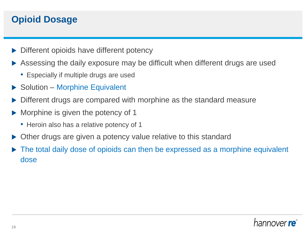## **Opioid Dosage**

- Different opioids have different potency
- Assessing the daily exposure may be difficult when different drugs are used
	- Especially if multiple drugs are used
- ▶ Solution Morphine Equivalent
- Different drugs are compared with morphine as the standard measure
- Morphine is given the potency of 1
	- Heroin also has a relative potency of 1
- Other drugs are given a potency value relative to this standard
- The total daily dose of opioids can then be expressed as a morphine equivalent dose

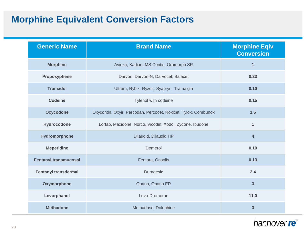## **Morphine Equivalent Conversion Factors**

| <b>Generic Name</b>          | <b>Brand Name</b>                                              | <b>Morphine Eqiv</b><br><b>Conversion</b> |
|------------------------------|----------------------------------------------------------------|-------------------------------------------|
| <b>Morphine</b>              | Avinza, Kadian, MS Contin, Oramorph SR                         | $\mathbf{1}$                              |
| Propoxyphene                 | Darvon, Darvon-N, Darvocet, Balacet                            | 0.23                                      |
| <b>Tramadol</b>              | Ultram, Rybix, Ryzolt, Syapryn, Tramalgin                      | 0.10                                      |
| <b>Codeine</b>               | Tylenol with codeine                                           | 0.15                                      |
| Oxycodone                    | Oxycontin, Oxyir, Percodan, Percocet, Roxicet, Tylox, Combunox | 1.5                                       |
| Hydrocodone                  | Lortab, Maxidone, Norco, Vicodin, Xodol, Zydone, Ibudone       | 1                                         |
| Hydromorphone                | Dilaudid, Dilaudid HP                                          | $\overline{4}$                            |
| <b>Meperidine</b>            | Demerol                                                        | 0.10                                      |
| <b>Fentanyl transmucosal</b> | Fentora, Onsolis                                               | 0.13                                      |
| <b>Fentanyl transdermal</b>  | Duragesic                                                      | 2.4                                       |
| Oxymorphone                  | Opana, Opana ER                                                | 3                                         |
| Levorphanol                  | Levo-Dromoran                                                  | 11.0                                      |
| <b>Methadone</b>             | Methadose, Dolophine                                           | 3                                         |

#### hannover re<sup>®</sup>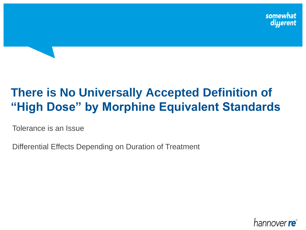# **There is No Universally Accepted Definition of "High Dose" by Morphine Equivalent Standards**

Tolerance is an Issue

Differential Effects Depending on Duration of Treatment

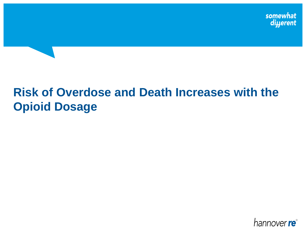# **Risk of Overdose and Death Increases with the Opioid Dosage**

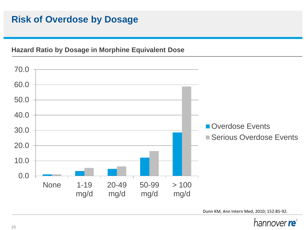## **Risk of Overdose by Dosage**

#### **Hazard Ratio by Dosage in Morphine Equivalent Dose**



Dunn KM, Ann Intern Med, 2010; 152:85-92.

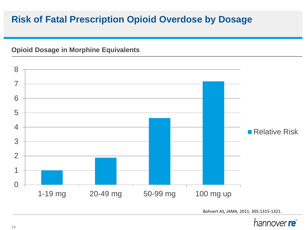## **Risk of Fatal Prescription Opioid Overdose by Dosage**

#### **Opioid Dosage in Morphine Equivalents**

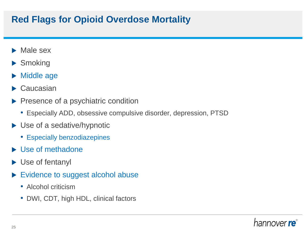## **Red Flags for Opioid Overdose Mortality**

- Male sex
- ▶ Smoking
- ▶ Middle age
- ▶ Caucasian
- Presence of a psychiatric condition
	- Especially ADD, obsessive compulsive disorder, depression, PTSD
- ▶ Use of a sedative/hypnotic
	- Especially benzodiazepines
- Use of methadone
- ▶ Use of fentanyl
- Evidence to suggest alcohol abuse
	- Alcohol criticism
	- DWI, CDT, high HDL, clinical factors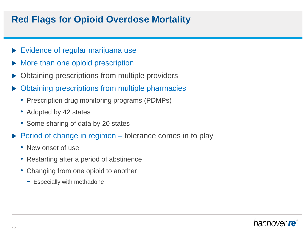### **Red Flags for Opioid Overdose Mortality**

- Evidence of regular marijuana use
- More than one opioid prescription
- Obtaining prescriptions from multiple providers
- Obtaining prescriptions from multiple pharmacies
	- Prescription drug monitoring programs (PDMPs)
	- Adopted by 42 states
	- Some sharing of data by 20 states
- $\triangleright$  Period of change in regimen tolerance comes in to play
	- New onset of use
	- Restarting after a period of abstinence
	- Changing from one opioid to another
		- − Especially with methadone

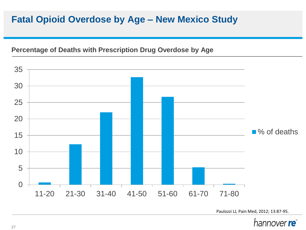### **Fatal Opioid Overdose by Age – New Mexico Study**

#### **Percentage of Deaths with Prescription Drug Overdose by Age**



Paulozzi LJ, Pain Med, 2012; 13:87-95.

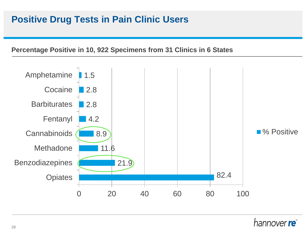#### **Positive Drug Tests in Pain Clinic Users**

#### **Percentage Positive in 10, 922 Specimens from 31 Clinics in 6 States**



#### hannover **re**°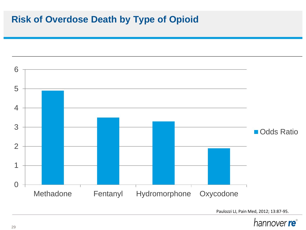### **Risk of Overdose Death by Type of Opioid**



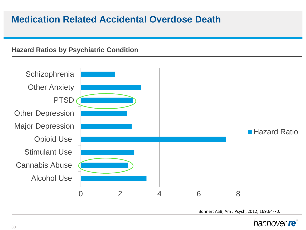#### **Medication Related Accidental Overdose Death**

#### **Hazard Ratios by Psychiatric Condition**



Bohnert ASB, Am J Psych, 2012; 169:64-70.

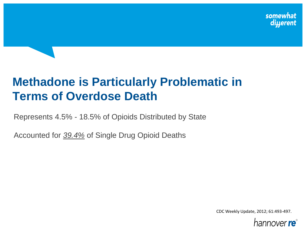# **Methadone is Particularly Problematic in Terms of Overdose Death**

Represents 4.5% - 18.5% of Opioids Distributed by State

Accounted for *39.4%* of Single Drug Opioid Deaths

CDC Weekly Update, 2012; 61:493-497.

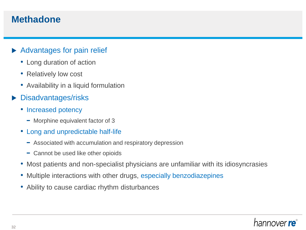#### **Methadone**

#### Advantages for pain relief

- Long duration of action
- Relatively low cost
- Availability in a liquid formulation
- Disadvantages/risks
	- Increased potency
		- − Morphine equivalent factor of 3
	- Long and unpredictable half-life
		- − Associated with accumulation and respiratory depression
		- − Cannot be used like other opioids
	- Most patients and non-specialist physicians are unfamiliar with its idiosyncrasies
	- Multiple interactions with other drugs, especially benzodiazepines
	- Ability to cause cardiac rhythm disturbances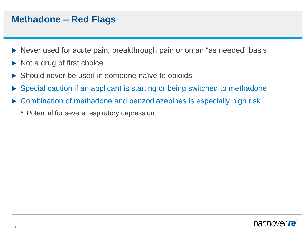#### **Methadone – Red Flags**

- Never used for acute pain, breakthrough pain or on an "as needed" basis
- $\triangleright$  Not a drug of first choice
- Should never be used in someone naïve to opioids
- Special caution if an applicant is starting or being switched to methadone
- Combination of methadone and benzodiazepines is especially high risk
	- Potential for severe respiratory depression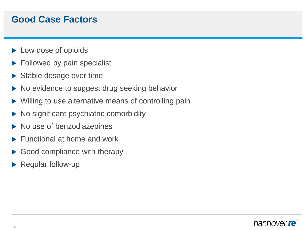### **Good Case Factors**

- ▶ Low dose of opioids
- $\blacktriangleright$  Followed by pain specialist
- $\triangleright$  Stable dosage over time
- ▶ No evidence to suggest drug seeking behavior
- Willing to use alternative means of controlling pain
- No significant psychiatric comorbidity
- No use of benzodiazepines
- Functional at home and work
- Good compliance with therapy
- Regular follow-up

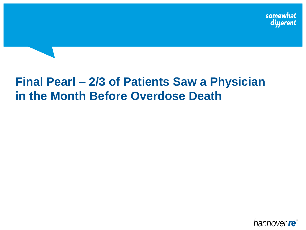# **Final Pearl – 2/3 of Patients Saw a Physician in the Month Before Overdose Death**

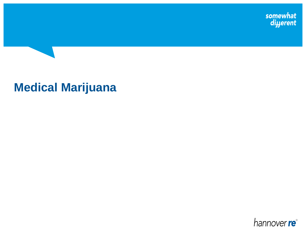somewhat<br>di*yerent* 

# **Medical Marijuana**

hannover re<sup>®</sup>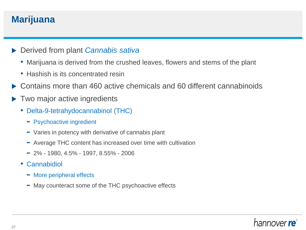#### **Marijuana**

- Derived from plant *Cannabis sativa*
	- Marijuana is derived from the crushed leaves, flowers and stems of the plant
	- Hashish is its concentrated resin
- ▶ Contains more than 460 active chemicals and 60 different cannabinoids
- ▶ Two major active ingredients
	- Delta-9-tetrahydocannabinol (THC)
		- − Psychoactive ingredient
		- − Varies in potency with derivative of cannabis plant
		- − Average THC content has increased over time with cultivation
		- − 2% 1980, 4.5% 1997, 8.55% 2006
	- **Cannabidiol** 
		- − More peripheral effects
		- − May counteract some of the THC psychoactive effects

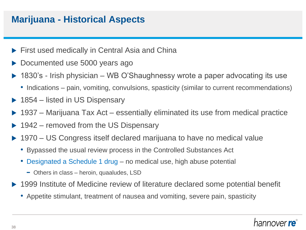#### **Marijuana - Historical Aspects**

- **First used medically in Central Asia and China**
- Documented use 5000 years ago
- ▶ 1830's Irish physician WB O'Shaughnessy wrote a paper advocating its use
	- Indications pain, vomiting, convulsions, spasticity (similar to current recommendations)
- $\triangleright$  1854 listed in US Dispensary
- 1937 Marijuana Tax Act essentially eliminated its use from medical practice
- ▶ 1942 removed from the US Dispensary
- ▶ 1970 US Congress itself declared marijuana to have no medical value
	- Bypassed the usual review process in the Controlled Substances Act
	- Designated a Schedule 1 drug no medical use, high abuse potential
		- − Others in class heroin, quaaludes, LSD
- ▶ 1999 Institute of Medicine review of literature declared some potential benefit
	- Appetite stimulant, treatment of nausea and vomiting, severe pain, spasticity

#### hannover **re**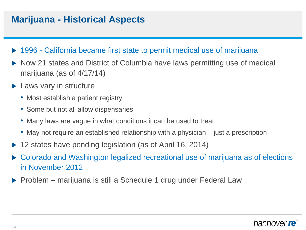### **Marijuana - Historical Aspects**

- ▶ 1996 California became first state to permit medical use of marijuana
- ▶ Now 21 states and District of Columbia have laws permitting use of medical marijuana (as of 4/17/14)
- ▶ Laws vary in structure
	- Most establish a patient registry
	- Some but not all allow dispensaries
	- Many laws are vague in what conditions it can be used to treat
	- May not require an established relationship with a physician just a prescription
- 12 states have pending legislation (as of April 16, 2014)
- Colorado and Washington legalized recreational use of marijuana as of elections in November 2012
- ▶ Problem marijuana is still a Schedule 1 drug under Federal Law

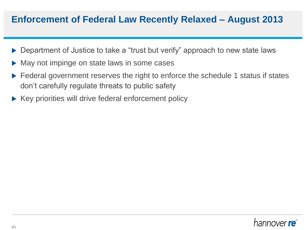#### **Enforcement of Federal Law Recently Relaxed – August 2013**

- Department of Justice to take a "trust but verify" approach to new state laws
- May not impinge on state laws in some cases
- Federal government reserves the right to enforce the schedule 1 status if states don't carefully regulate threats to public safety
- $\triangleright$  Key priorities will drive federal enforcement policy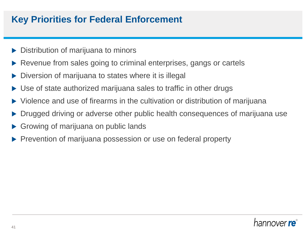### **Key Priorities for Federal Enforcement**

- Distribution of marijuana to minors
- Revenue from sales going to criminal enterprises, gangs or cartels
- Diversion of marijuana to states where it is illegal
- Use of state authorized marijuana sales to traffic in other drugs
- Violence and use of firearms in the cultivation or distribution of marijuana
- Drugged driving or adverse other public health consequences of marijuana use
- Growing of marijuana on public lands
- Prevention of marijuana possession or use on federal property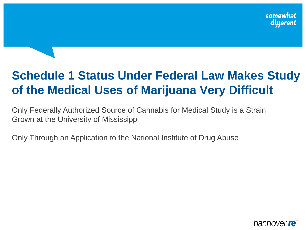# **Schedule 1 Status Under Federal Law Makes Study of the Medical Uses of Marijuana Very Difficult**

Only Federally Authorized Source of Cannabis for Medical Study is a Strain Grown at the University of Mississippi

Only Through an Application to the National Institute of Drug Abuse

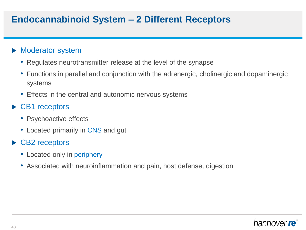### **Endocannabinoid System – 2 Different Receptors**

#### **Moderator system**

- Regulates neurotransmitter release at the level of the synapse
- Functions in parallel and conjunction with the adrenergic, cholinergic and dopaminergic systems
- Effects in the central and autonomic nervous systems

#### ▶ CB1 receptors

- Psychoactive effects
- Located primarily in CNS and gut

#### ▶ CB2 receptors

- Located only in periphery
- Associated with neuroinflammation and pain, host defense, digestion

## hannover **re**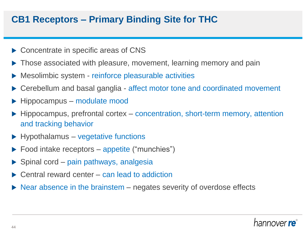#### **CB1 Receptors – Primary Binding Site for THC**

- ▶ Concentrate in specific areas of CNS
- ▶ Those associated with pleasure, movement, learning memory and pain
- Mesolimbic system reinforce pleasurable activities
- ▶ Cerebellum and basal ganglia affect motor tone and coordinated movement
- ▶ Hippocampus modulate mood
- Hippocampus, prefrontal cortex concentration, short-term memory, attention and tracking behavior
- $\blacktriangleright$  Hypothalamus vegetative functions
- $\triangleright$  Food intake receptors appetite ("munchies")
- $\triangleright$  Spinal cord pain pathways, analgesia
- $\triangleright$  Central reward center can lead to addiction
- $\triangleright$  Near absence in the brainstem negates severity of overdose effects

#### hannover **re**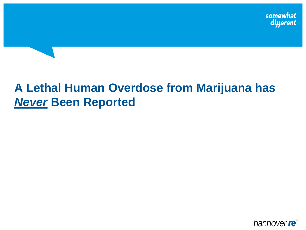# **A Lethal Human Overdose from Marijuana has**  *Never* **Been Reported**

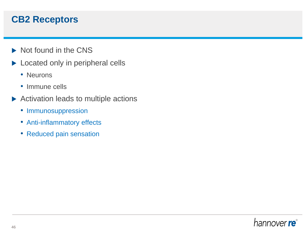#### **CB2 Receptors**

- $\triangleright$  Not found in the CNS
- Located only in peripheral cells
	- Neurons
	- Immune cells
- Activation leads to multiple actions
	- Immunosuppression
	- Anti-inflammatory effects
	- Reduced pain sensation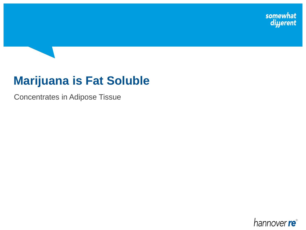somewhat<br>diyerent

# **Marijuana is Fat Soluble**

Concentrates in Adipose Tissue

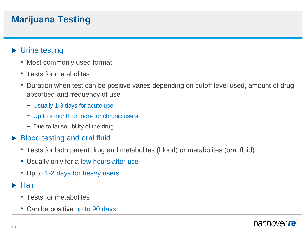## **Marijuana Testing**

#### ▶ Urine testing

- Most commonly used format
- Tests for metabolites
- Duration when test can be positive varies depending on cutoff level used, amount of drug absorbed and frequency of use
	- − Usually 1-3 days for acute use
	- − Up to a month or more for chronic users
	- − Due to fat solubility of the drug

#### Blood testing and oral fluid

- Tests for both parent drug and metabolites (blood) or metabolites (oral fluid)
- Usually only for a few hours after use
- Up to 1-2 days for heavy users
- $\blacktriangleright$  Hair
	- Tests for metabolites
	- Can be positive up to 90 days

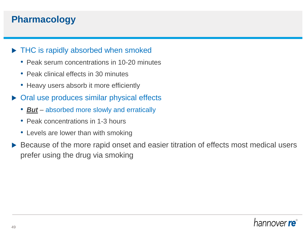### **Pharmacology**

#### ▶ THC is rapidly absorbed when smoked

- Peak serum concentrations in 10-20 minutes
- Peak clinical effects in 30 minutes
- Heavy users absorb it more efficiently
- ▶ Oral use produces similar physical effects
	- *But* absorbed more slowly and erratically
	- Peak concentrations in 1-3 hours
	- Levels are lower than with smoking
- Because of the more rapid onset and easier titration of effects most medical users prefer using the drug via smoking

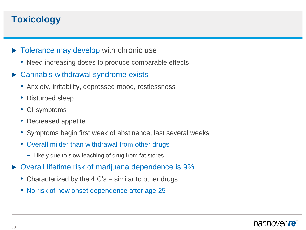## **Toxicology**

- $\triangleright$  Tolerance may develop with chronic use
	- Need increasing doses to produce comparable effects
- ▶ Cannabis withdrawal syndrome exists
	- Anxiety, irritability, depressed mood, restlessness
	- Disturbed sleep
	- GI symptoms
	- Decreased appetite
	- Symptoms begin first week of abstinence, last several weeks
	- Overall milder than withdrawal from other drugs
		- − Likely due to slow leaching of drug from fat stores
- ▶ Overall lifetime risk of marijuana dependence is 9%
	- Characterized by the 4 C's similar to other drugs
	- No risk of new onset dependence after age 25

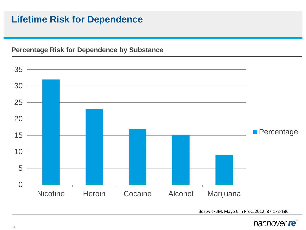### **Lifetime Risk for Dependence**

#### **Percentage Risk for Dependence by Substance**



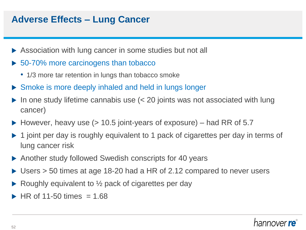### **Adverse Effects – Lung Cancer**

- Association with lung cancer in some studies but not all
- ▶ 50-70% more carcinogens than tobacco
	- 1/3 more tar retention in lungs than tobacco smoke
- ▶ Smoke is more deeply inhaled and held in lungs longer
- In one study lifetime cannabis use (< 20 joints was not associated with lung cancer)
- $\blacktriangleright$  However, heavy use ( $> 10.5$  joint-years of exposure) had RR of 5.7
- ▶ 1 joint per day is roughly equivalent to 1 pack of cigarettes per day in terms of lung cancer risk
- Another study followed Swedish conscripts for 40 years
- ▶ Users > 50 times at age 18-20 had a HR of 2.12 compared to never users
- Roughly equivalent to ½ pack of cigarettes per day
- HR of 11-50 times  $= 1.68$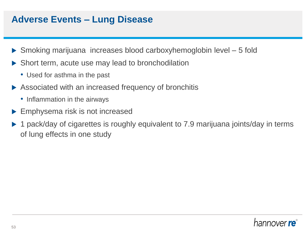#### **Adverse Events – Lung Disease**

- Smoking marijuana increases blood carboxyhemoglobin level 5 fold
- ▶ Short term, acute use may lead to bronchodilation
	- Used for asthma in the past
- ▶ Associated with an increased frequency of bronchitis
	- Inflammation in the airways
- ▶ Emphysema risk is not increased
- ▶ 1 pack/day of cigarettes is roughly equivalent to 7.9 marijuana joints/day in terms of lung effects in one study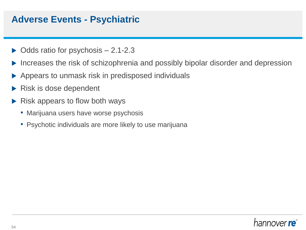#### **Adverse Events - Psychiatric**

- $\triangleright$  Odds ratio for psychosis  $-2.1$ -2.3
- Increases the risk of schizophrenia and possibly bipolar disorder and depression
- Appears to unmask risk in predisposed individuals
- Risk is dose dependent
- Risk appears to flow both ways
	- Marijuana users have worse psychosis
	- Psychotic individuals are more likely to use marijuana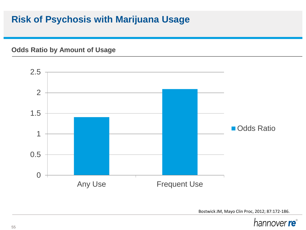## **Risk of Psychosis with Marijuana Usage**

**Odds Ratio by Amount of Usage**



Bostwick JM, Mayo Clin Proc, 2012; 87:172-186.

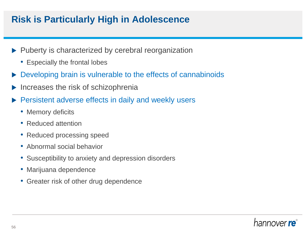## **Risk is Particularly High in Adolescence**

- $\blacktriangleright$  Puberty is characterized by cerebral reorganization
	- Especially the frontal lobes
- Developing brain is vulnerable to the effects of cannabinoids
- Increases the risk of schizophrenia
- Persistent adverse effects in daily and weekly users
	- Memory deficits
	- Reduced attention
	- Reduced processing speed
	- Abnormal social behavior
	- Susceptibility to anxiety and depression disorders
	- Marijuana dependence
	- Greater risk of other drug dependence

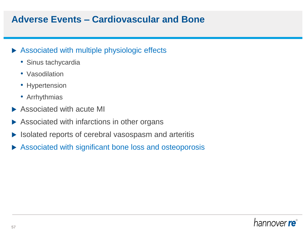### **Adverse Events – Cardiovascular and Bone**

#### Associated with multiple physiologic effects

- Sinus tachycardia
- Vasodilation
- Hypertension
- Arrhythmias
- Associated with acute MI
- ▶ Associated with infarctions in other organs
- Isolated reports of cerebral vasospasm and arteritis
- Associated with significant bone loss and osteoporosis

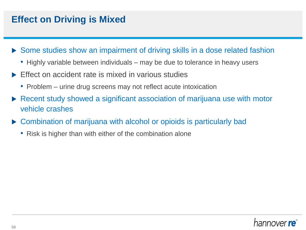## **Effect on Driving is Mixed**

- ▶ Some studies show an impairment of driving skills in a dose related fashion
	- Highly variable between individuals may be due to tolerance in heavy users
- $\triangleright$  Effect on accident rate is mixed in various studies
	- Problem urine drug screens may not reflect acute intoxication
- Recent study showed a significant association of marijuana use with motor vehicle crashes
- ▶ Combination of marijuana with alcohol or opioids is particularly bad
	- Risk is higher than with either of the combination alone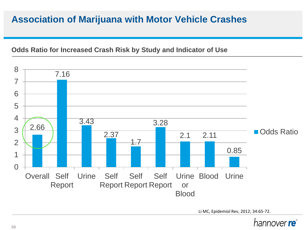### **Association of Marijuana with Motor Vehicle Crashes**

#### **Odds Ratio for Increased Crash Risk by Study and Indicator of Use**



Li MC, Epidemiol Rev, 2012; 34:65-72.

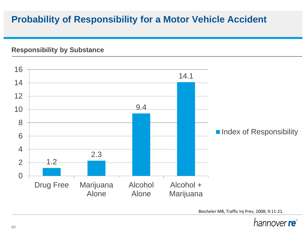## **Probability of Responsibility for a Motor Vehicle Accident**

#### **Responsibility by Substance**



Biecheler MB, Traffic Inj Prev, 2008; 9:11-21.

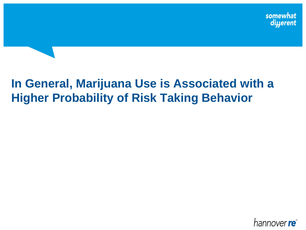# **In General, Marijuana Use is Associated with a Higher Probability of Risk Taking Behavior**

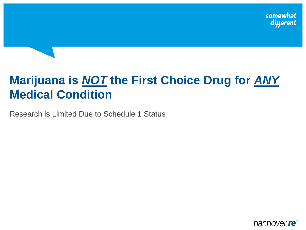# **Marijuana is** *NOT* **the First Choice Drug for** *ANY* **Medical Condition**

Research is Limited Due to Schedule 1 Status

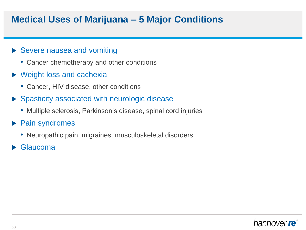#### **Medical Uses of Marijuana – 5 Major Conditions**

#### ▶ Severe nausea and vomiting

- Cancer chemotherapy and other conditions
- ▶ Weight loss and cachexia
	- Cancer, HIV disease, other conditions
- ▶ Spasticity associated with neurologic disease
	- Multiple sclerosis, Parkinson's disease, spinal cord injuries
- ▶ Pain syndromes
	- Neuropathic pain, migraines, musculoskeletal disorders
- **Glaucoma**

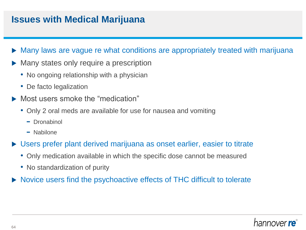#### **Issues with Medical Marijuana**

- Many laws are vague re what conditions are appropriately treated with marijuana
- Many states only require a prescription
	- No ongoing relationship with a physician
	- De facto legalization
- Most users smoke the "medication"
	- Only 2 oral meds are available for use for nausea and vomiting
		- − Dronabinol
		- − Nabilone
- ▶ Users prefer plant derived marijuana as onset earlier, easier to titrate
	- Only medication available in which the specific dose cannot be measured
	- No standardization of purity
- ▶ Novice users find the psychoactive effects of THC difficult to tolerate

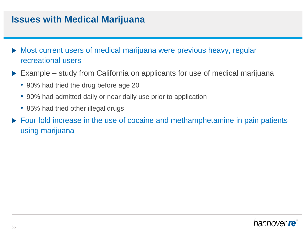#### **Issues with Medical Marijuana**

- Most current users of medical marijuana were previous heavy, regular recreational users
- ▶ Example study from California on applicants for use of medical marijuana
	- 90% had tried the drug before age 20
	- 90% had admitted daily or near daily use prior to application
	- 85% had tried other illegal drugs
- ▶ Four fold increase in the use of cocaine and methamphetamine in pain patients using marijuana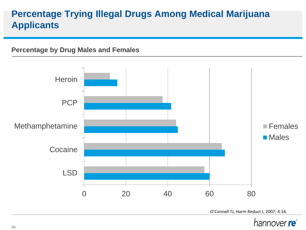## **Percentage Trying Illegal Drugs Among Medical Marijuana Applicants**

#### **Percentage by Drug Males and Females**

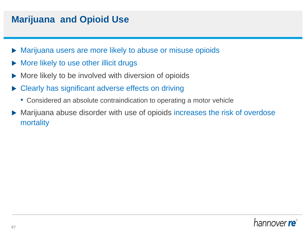#### **Marijuana and Opioid Use**

- Marijuana users are more likely to abuse or misuse opioids
- More likely to use other illicit drugs
- More likely to be involved with diversion of opioids
- Clearly has significant adverse effects on driving
	- Considered an absolute contraindication to operating a motor vehicle
- Marijuana abuse disorder with use of opioids increases the risk of overdose mortality

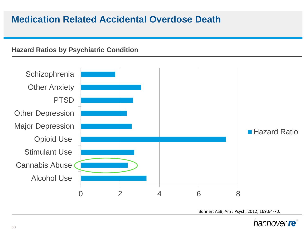#### **Medication Related Accidental Overdose Death**

#### **Hazard Ratios by Psychiatric Condition**



Bohnert ASB, Am J Psych, 2012; 169:64-70.

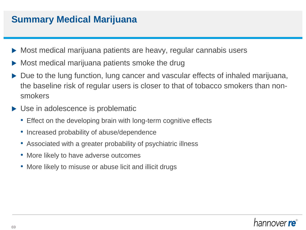### **Summary Medical Marijuana**

- Most medical marijuana patients are heavy, regular cannabis users
- Most medical marijuana patients smoke the drug
- Due to the lung function, lung cancer and vascular effects of inhaled marijuana, the baseline risk of regular users is closer to that of tobacco smokers than nonsmokers
- ▶ Use in adolescence is problematic
	- Effect on the developing brain with long-term cognitive effects
	- Increased probability of abuse/dependence
	- Associated with a greater probability of psychiatric illness
	- More likely to have adverse outcomes
	- More likely to misuse or abuse licit and illicit drugs

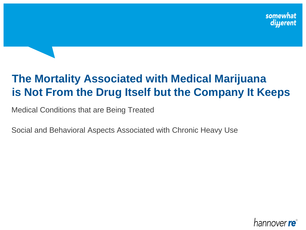## **The Mortality Associated with Medical Marijuana is Not From the Drug Itself but the Company It Keeps**

Medical Conditions that are Being Treated

Social and Behavioral Aspects Associated with Chronic Heavy Use